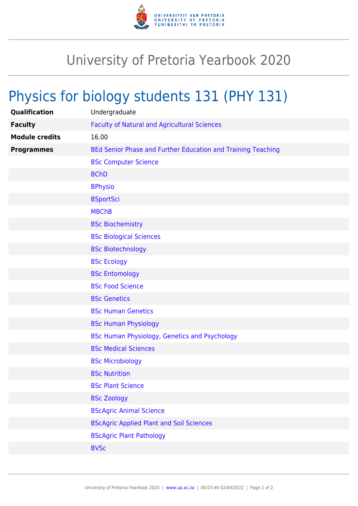

## University of Pretoria Yearbook 2020

## Physics for biology students 131 (PHY 131)

| Qualification         | Undergraduate                                                |
|-----------------------|--------------------------------------------------------------|
| <b>Faculty</b>        | <b>Faculty of Natural and Agricultural Sciences</b>          |
| <b>Module credits</b> | 16.00                                                        |
| <b>Programmes</b>     | BEd Senior Phase and Further Education and Training Teaching |
|                       | <b>BSc Computer Science</b>                                  |
|                       | <b>BChD</b>                                                  |
|                       | <b>BPhysio</b>                                               |
|                       | <b>BSportSci</b>                                             |
|                       | <b>MBChB</b>                                                 |
|                       | <b>BSc Biochemistry</b>                                      |
|                       | <b>BSc Biological Sciences</b>                               |
|                       | <b>BSc Biotechnology</b>                                     |
|                       | <b>BSc Ecology</b>                                           |
|                       | <b>BSc Entomology</b>                                        |
|                       | <b>BSc Food Science</b>                                      |
|                       | <b>BSc Genetics</b>                                          |
|                       | <b>BSc Human Genetics</b>                                    |
|                       | <b>BSc Human Physiology</b>                                  |
|                       | <b>BSc Human Physiology, Genetics and Psychology</b>         |
|                       | <b>BSc Medical Sciences</b>                                  |
|                       | <b>BSc Microbiology</b>                                      |
|                       | <b>BSc Nutrition</b>                                         |
|                       | <b>BSc Plant Science</b>                                     |
|                       | <b>BSc Zoology</b>                                           |
|                       | <b>BScAgric Animal Science</b>                               |
|                       | <b>BScAgric Applied Plant and Soil Sciences</b>              |
|                       | <b>BScAgric Plant Pathology</b>                              |
|                       | <b>BVSc</b>                                                  |
|                       |                                                              |